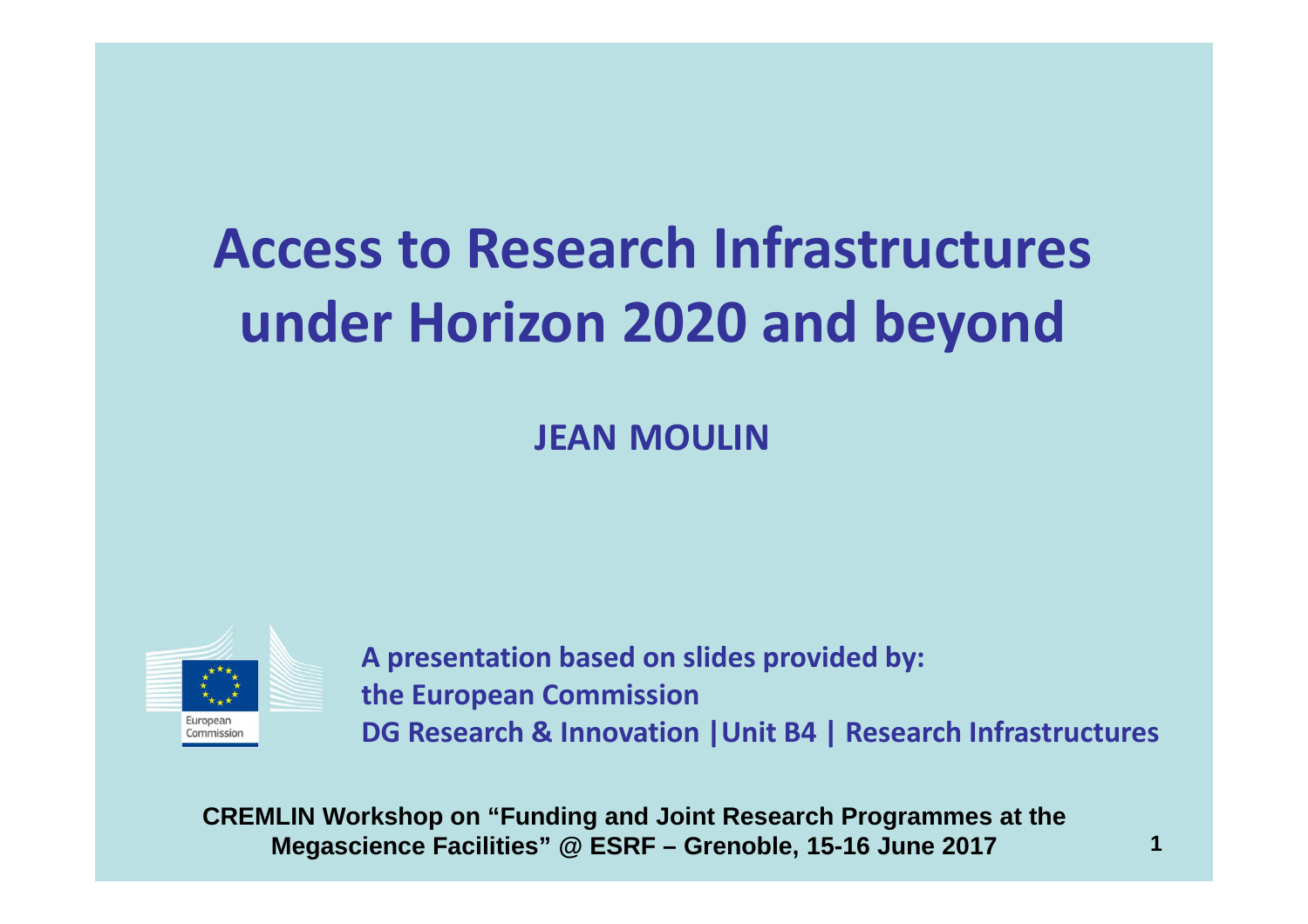# **Access to Research Infrastructuresunder Horizon 2020 and beyond**

**JEAN MOULIN**



**<sup>A</sup> presentation based on slides provided by: the European CommissionDG Research & Innovation |Unit B4 | Research Infrastructures**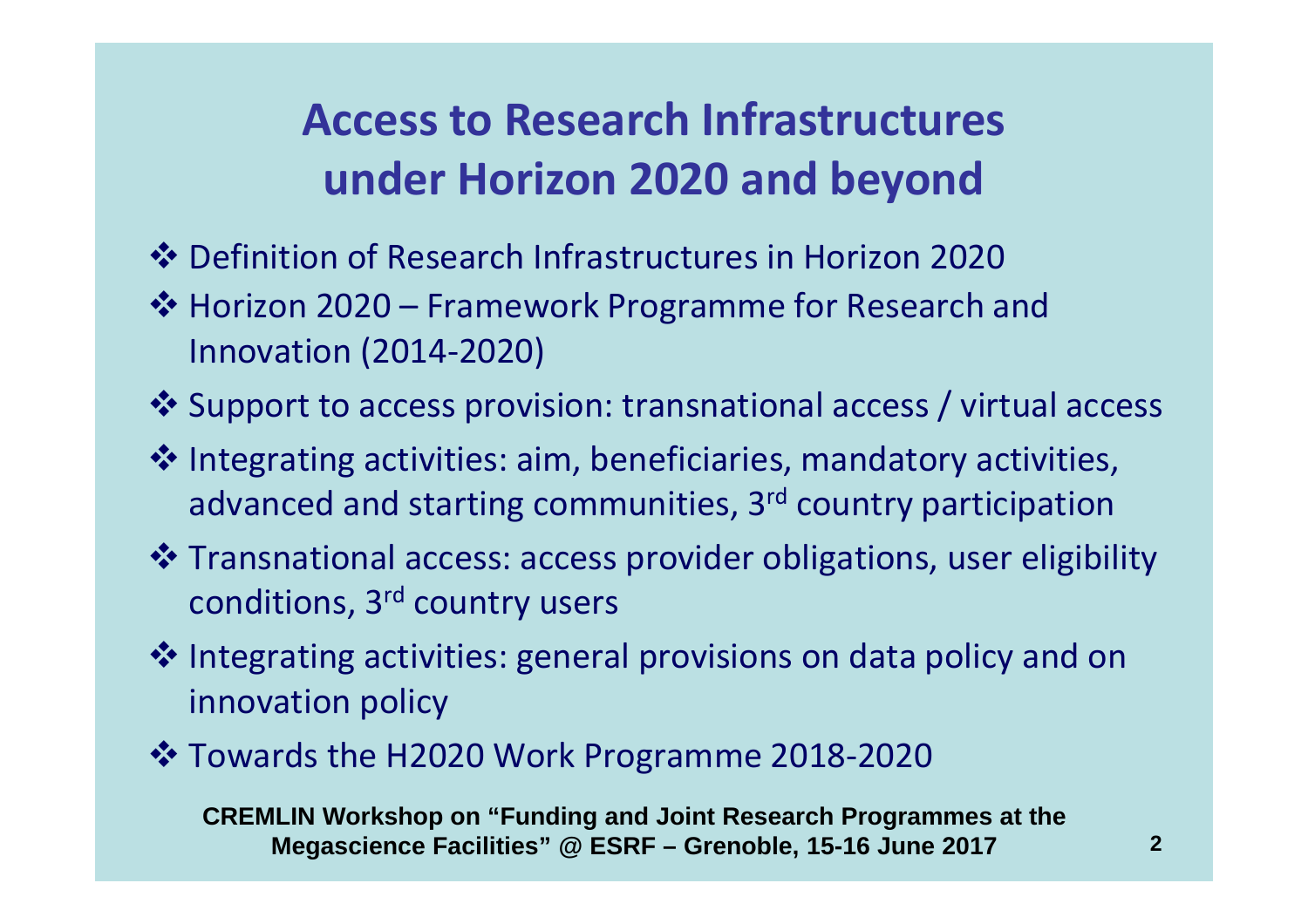# **Access to Research Infrastructuresunder Horizon 2020 and beyond**

- ◆ Definition of Research Infrastructures in Horizon 2020
- ❖ Horizon 2020 Framework Programme for Research and<br>languation (2014-2020) Innovation (2014-2020)
- \* Support to access provision: transnational access / virtual access
- **Integrating activities: aim, beneficiaries, mandatory activities,**  $\bullet$  and starting communities, and country participation advanced and starting communities, 3<sup>rd</sup> country participation
- **\*** Transnational access: access provider obligations, user eligibility<br>
conditions 2rd country users conditions, 3rd country users
- **<sup>❖</sup>** Integrating activities: general provisions on data policy and on<br>innovation policy innovation policy
- Towards the H2020 Work Programme 2018-2020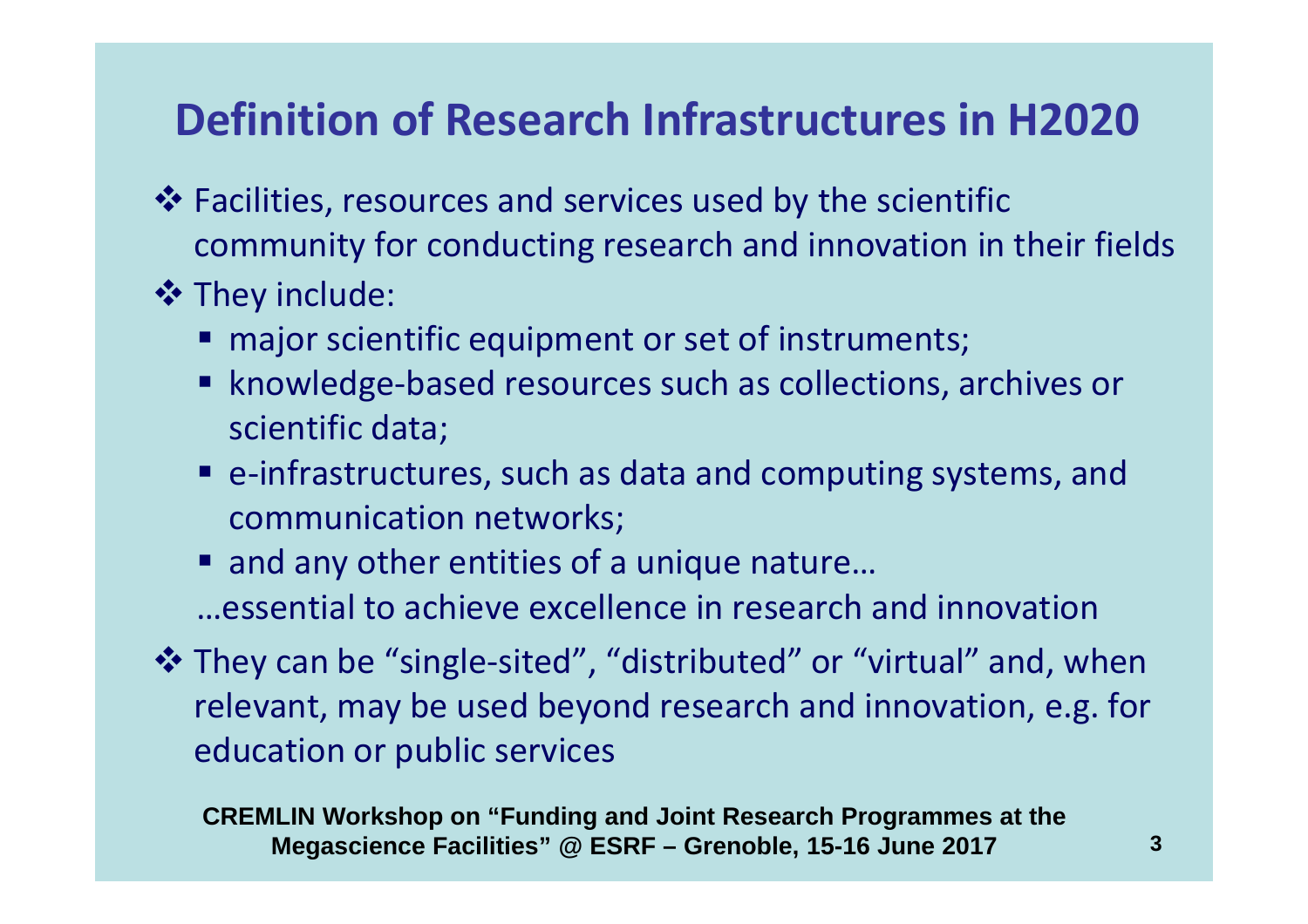# **Definition of Research Infrastructures in H2020**

- Facilities, resources and services used by the scientific<br>community for conducting research and innovation in t community for conducting research and innovation in their fields
- **<sup>❖</sup> They include:**<br>major scien
	- **najor scientific equipment or set of instruments;**
	- knowledge-based resources such as collections, archives or scientific data;
	- e-infrastructures, such as data and computing systems, and communication networks;
	- and any other entities of a unique nature... …essential to achieve excellence in research and innovation
- \* They can be "single-sited", "distributed" or "virtual" and, when<br>relevant may be used beyond research and innovation e.g. for relevant, may be used beyond research and innovation, e.g. for education or public services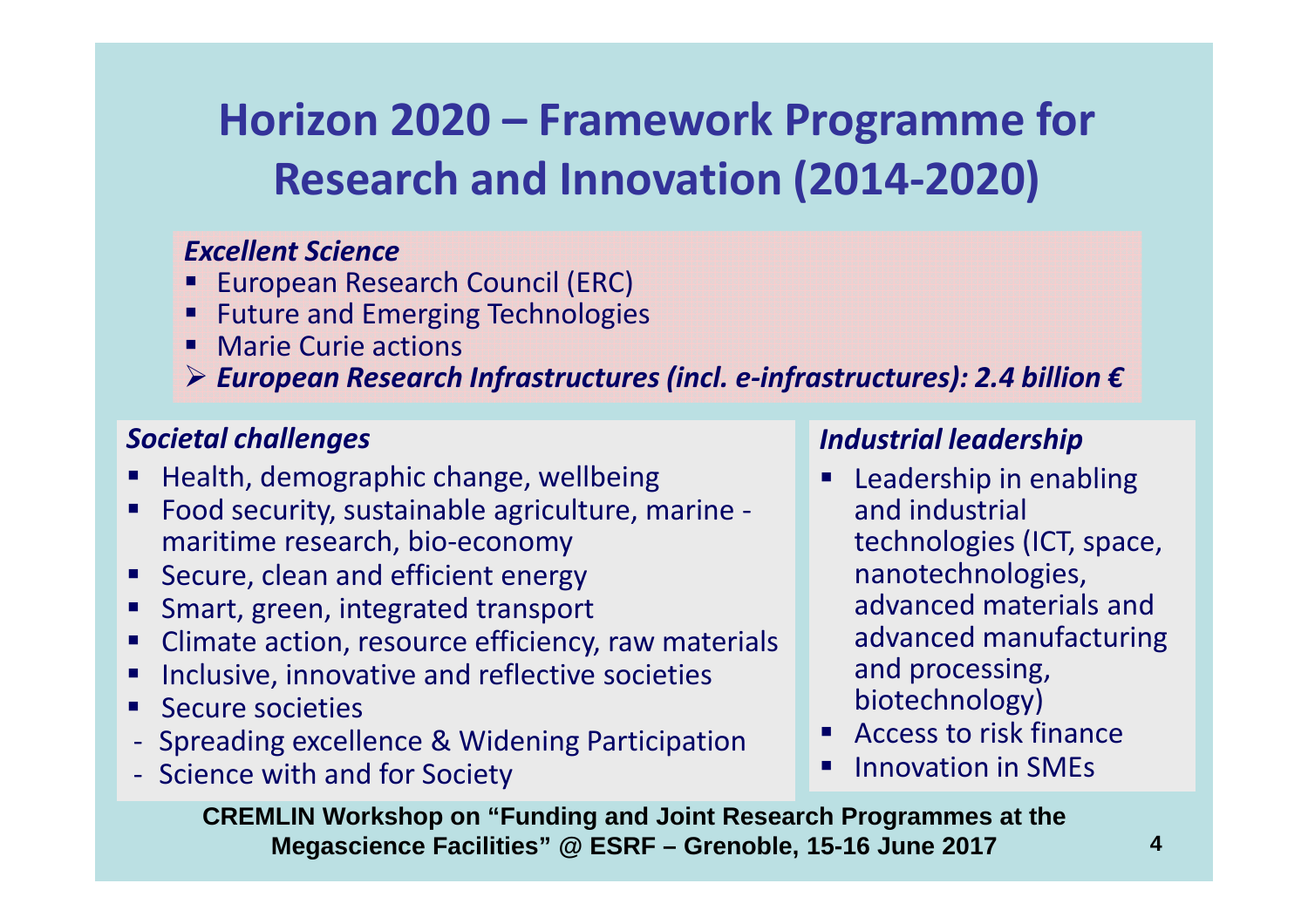# **Horizon 2020 – Framework Programme for Research and Innovation (2014-2020)**

#### *Excellent Science*

- **European Research Council (ERC)**
- **EXECUTE: 19 Future and Emerging Technologies**
- Marie Curie actions
- *European Research Infrastructures (incl. e-infrastructures): 2.4 billion €*

#### *Societal challenges*

- Health, demographic change, wellbeing
- - Food security, sustainable agriculture, marine maritime research, bio-economy
- **EXECUTE, clean and efficient energy**
- **EXECUTE: Smart, green, integrated transport**
- -Climate action, resource efficiency, raw materials
- -Inclusive, innovative and reflective societies
- Secure societies
- -Spreading excellence & Widening Participation
- -Science with and for Society

#### *Industrial leadership*

- **Leadership in enabling** and industrial technologies (ICT, space, nanotechnologies, advanced materials and advanced manufacturing and processing, biotechnology)
- **EXECCESS to risk finance**
- -Innovation in SMEs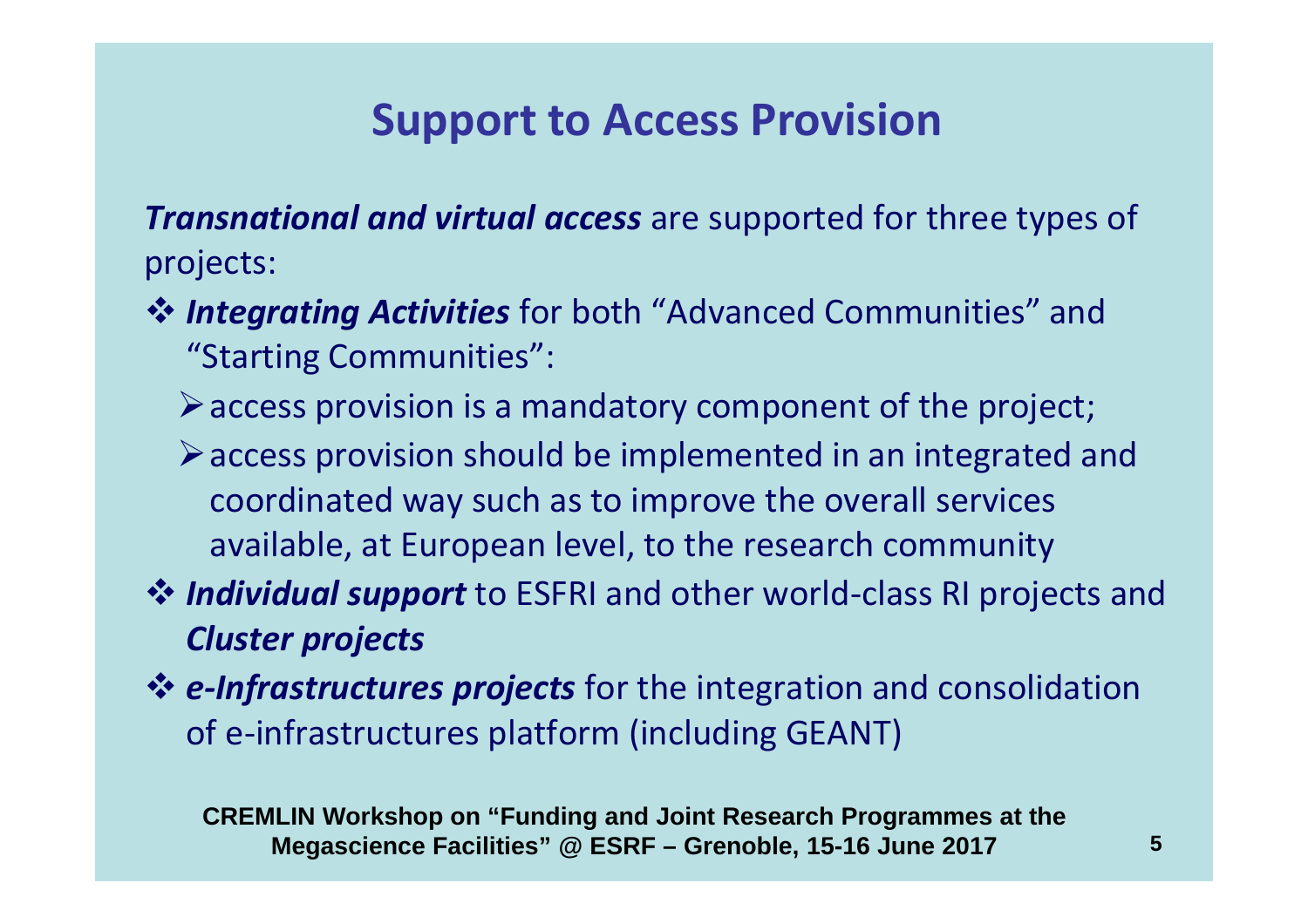## **Support to Access Provision**

*Transnational and virtual access* are supported for three types of projects:

- *Integrating Activities* for both "Advanced Communities" and "Starting Communities". "Starting Communities":
	- $\triangleright$  access provision is a mandatory component of the project;
	- access provision should be implemented in an integrated and coordinated way such as to improve the overall services available, at European level, to the research community
- **Individual support** to ESFRI and other world-class RI projects and<br>Cluster projects *Cluster projects*
- **E-Infrastructures projects** for the integration and consolidation<br>
of a infrastructures platform (including GEANT) of e-infrastructures platform (including GEANT)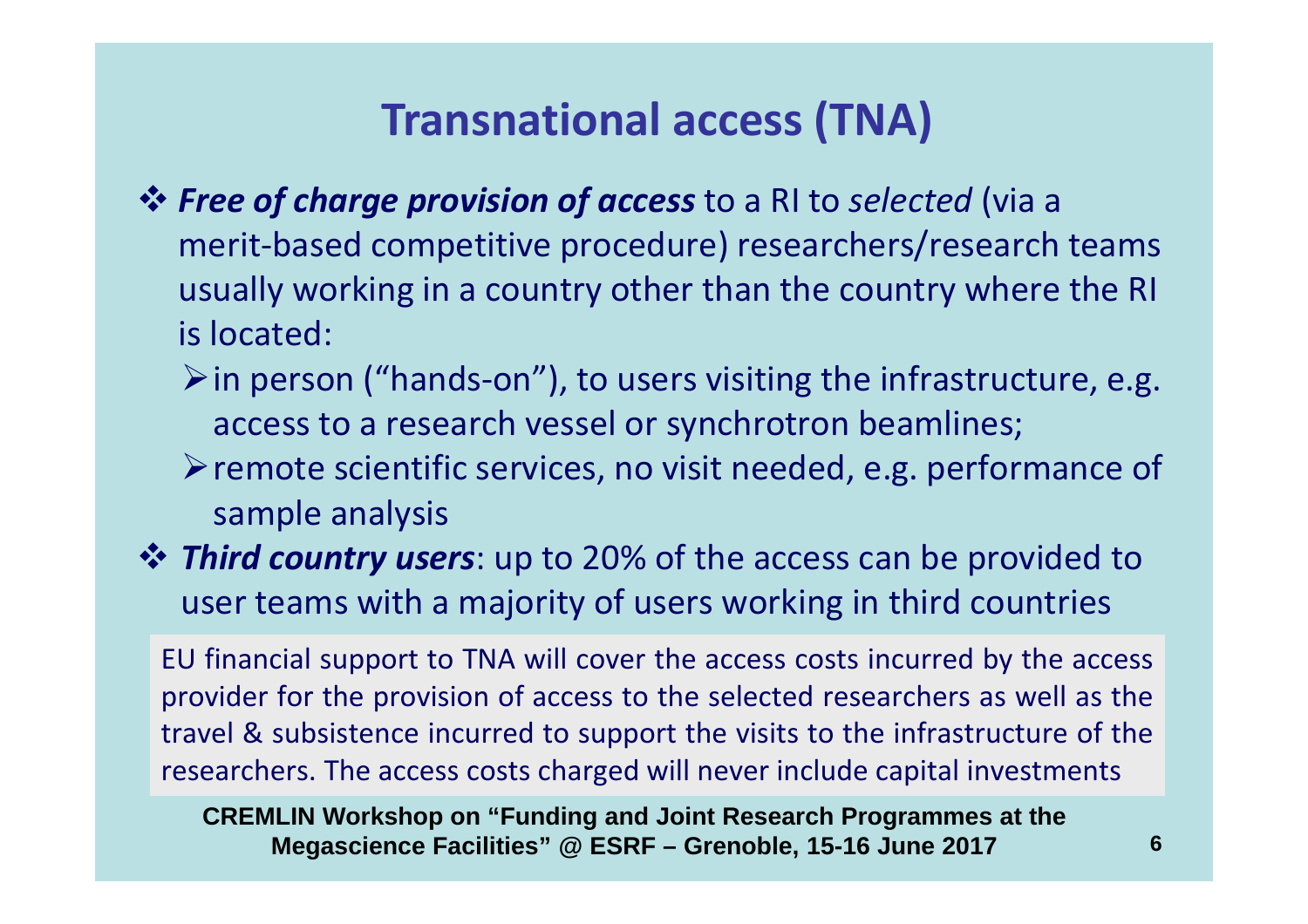# **Transnational access (TNA)**

- *Free of charge provision of access* to a RI to *selected* (via a merit-based competitive procedure) researchers/research teams usually working in a country other than the country where the RI is located:
	- $\triangleright$  in person ("hands-on"), to users visiting the infrastructure, e.g. access to a research vessel or synchrotron beamlines;
	- $\triangleright$  remote scientific services, no visit needed, e.g. performance of sample analysis
- *Third country users*: up to 20% of the access can be provided to user teams with a majority of users working in third countries user teams with a majority of users working in third countries

EU financial support to TNA will cover the access costs incurred by the access provider for the provision of access to the selected researchers as well as the travel & subsistence incurred to support the visits to the infrastructure of the researchers. The access costs charged will never include capital investments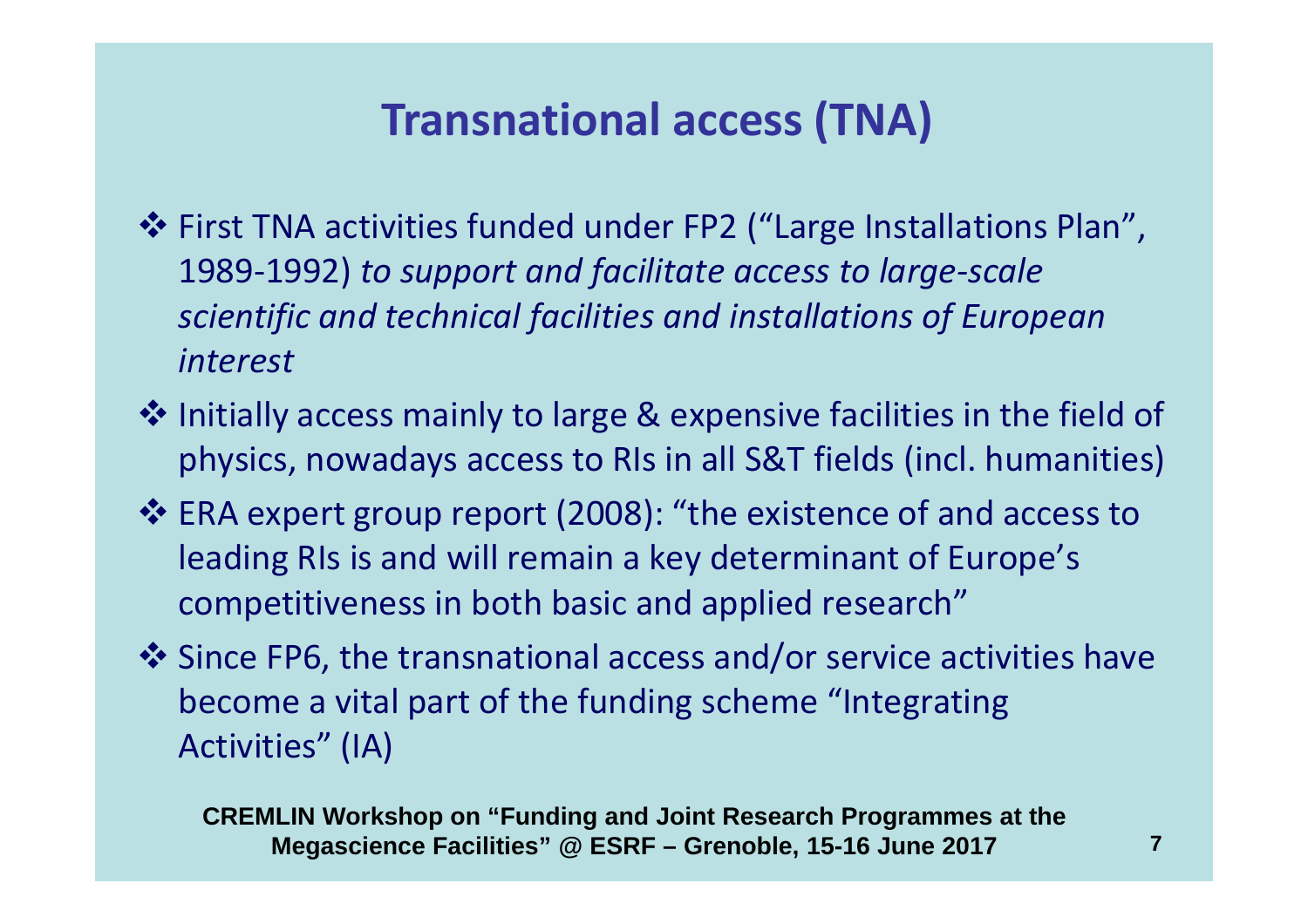# **Transnational access (TNA)**

- **First TNA activities funded under FP2 ("Large Installations Plan",**<br>1989-1993) to support and facilitate access to large scale 1989-1992) *to support and facilitate access to large-scale scientific and technical facilities and installations of European interest*
- Initially access mainly to large & expensive facilities in the field of<br>
physics nowadays assess to PIs in all S&T fields (incl. bumanities) physics, nowadays access to RIs in all S&T fields (incl. humanities)
- **ERA expert group report (2008): "the existence of and access to September 2008):** "the existence of and access to leading RIs is and will remain a key determinant of Europe's competitiveness in both basic and applied research"
- $\cdot$  Since FP6, the transnational access and/or service activities have<br>become a vital part of the funding schome "Integrating become a vital part of the funding scheme "Integrating Activities" (IA)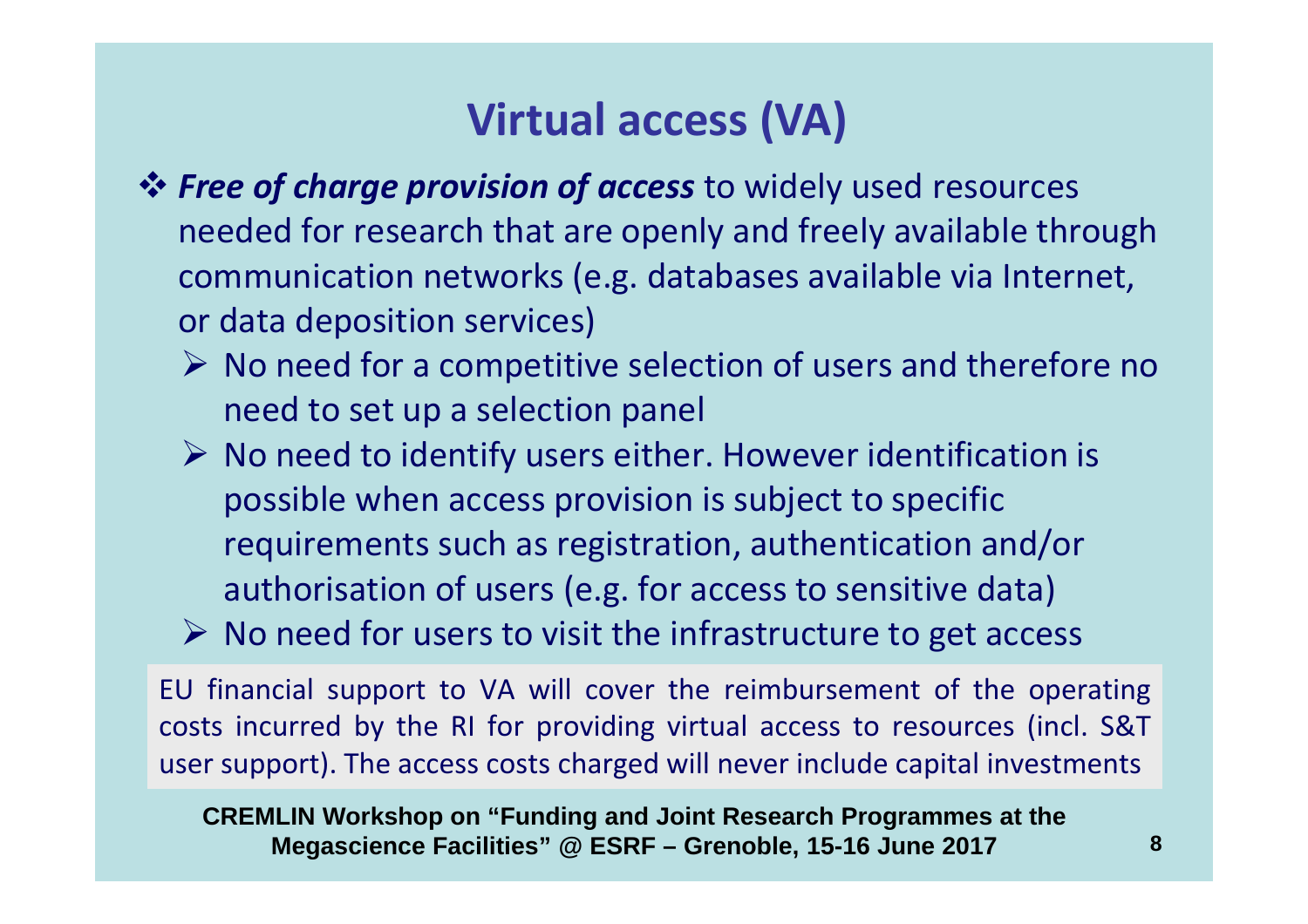# **Virtual access (VA)**

- **Free of charge provision of access** to widely used resources<br>and for research that are enough and freely available three needed for research that are openly and freely available through communication networks (e.g. databases available via Internet, or data deposition services)
	- $\triangleright$  No need for a competitive selection of users and therefore no need to set up a selection panel
	- $\triangleright$  No need to identify users either. However identification is possible when access provision is subject to specific requirements such as registration, authentication and/or authorisation of users (e.g. for access to sensitive data)
	- $\triangleright$  No need for users to visit the infrastructure to get access

EU financial support to VA will cover the reimbursement of the operating costs incurred by the RI for providing virtual access to resources (incl. S&T user support). The access costs charged will never include capital investments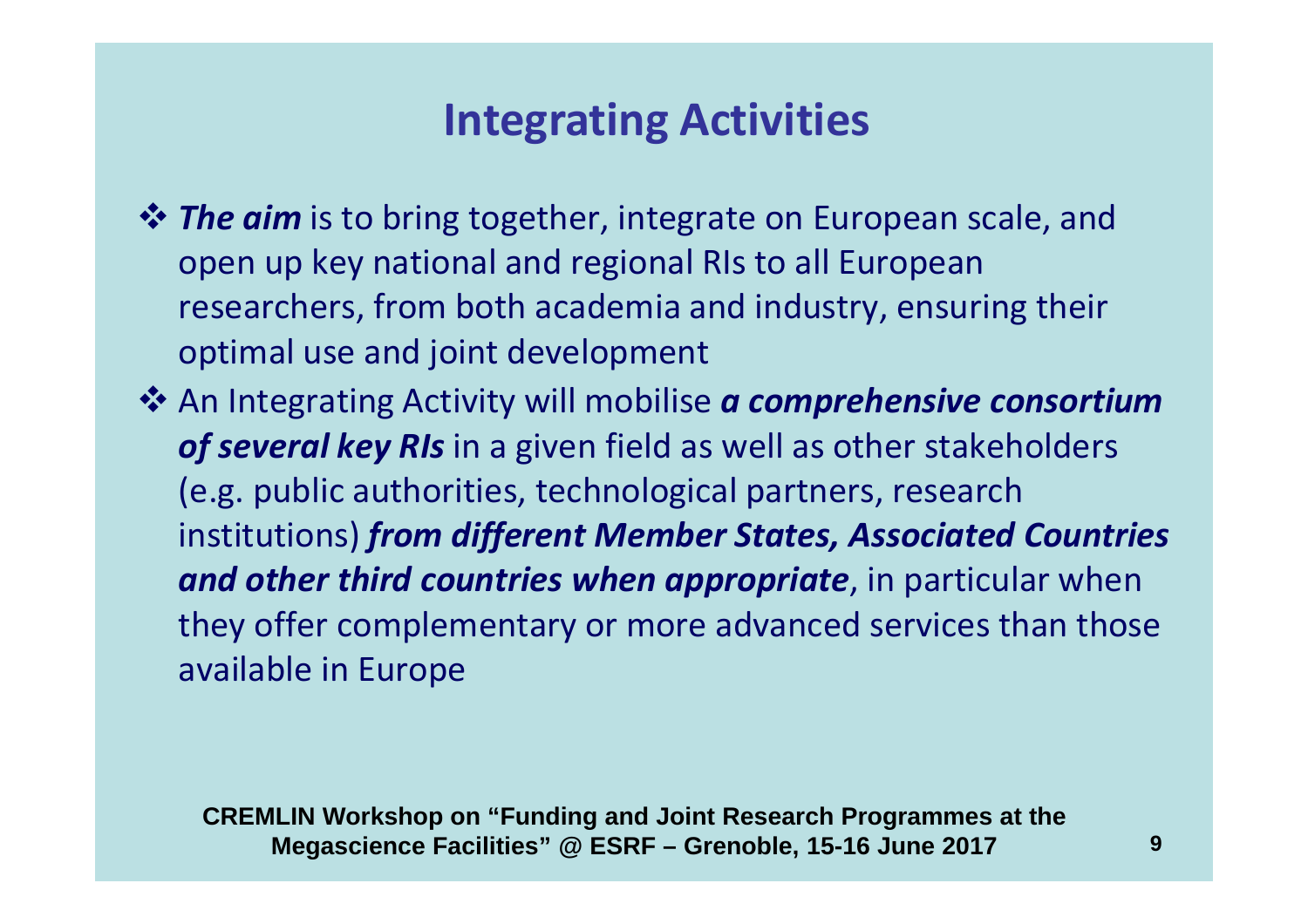## **Integrating Activities**

- *Ihe aim* is to bring together, integrate on European scale, and<br>
onen un key patienal and regional Pls to all European open up key national and regional RIs to all European researchers, from both academia and industry, ensuring their optimal use and joint development
- <sup>\*</sup> An Integrating Activity will mobilise *a comprehensive consortium*<br> **Consort is a super field as well as other stakeholders** *of several key RIs* in a given field as well as other stakeholders (e.g. public authorities, technological partners, research institutions) *from different Member States, Associated Countries and other third countries when appropriate*, in particular when they offer complementary or more advanced services than those available in Europe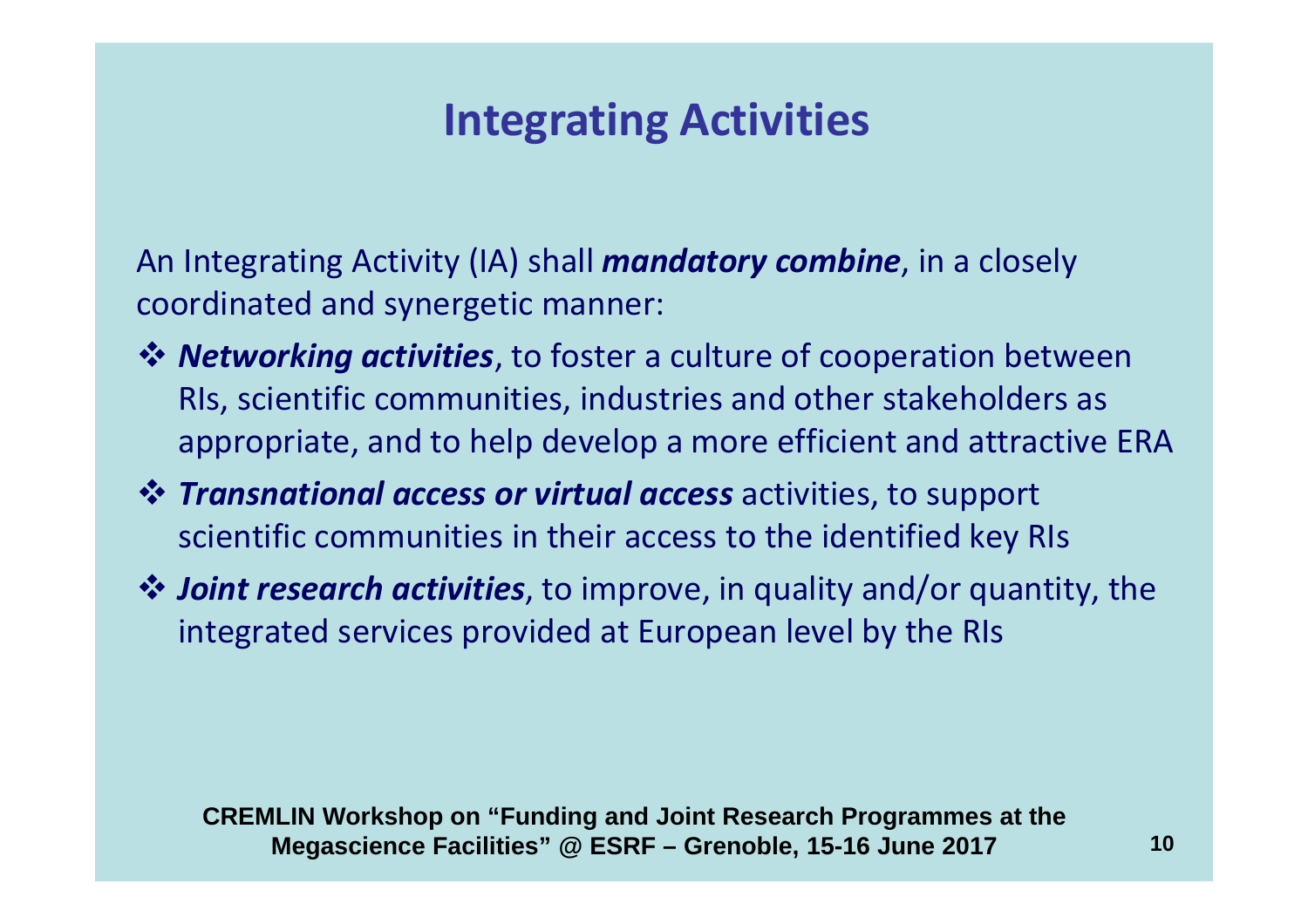## **Integrating Activities**

An Integrating Activity (IA) shall *mandatory combine*, in a closely coordinated and synergetic manner:

- *Networking activities*, to foster a culture of cooperation between<br>Ris, scientific communities, industries and other stakeholders as RIs, scientific communities, industries and other stakeholders as appropriate, and to help develop a more efficient and attractive ERA
- *Transnational access or virtual access* activities, to support scientific communities in their access to the identified key RIs
- *Ioint research activities*, to improve, in quality and/or quantity, the integrated services provided at European lovel by the PIs integrated services provided at European level by the RIs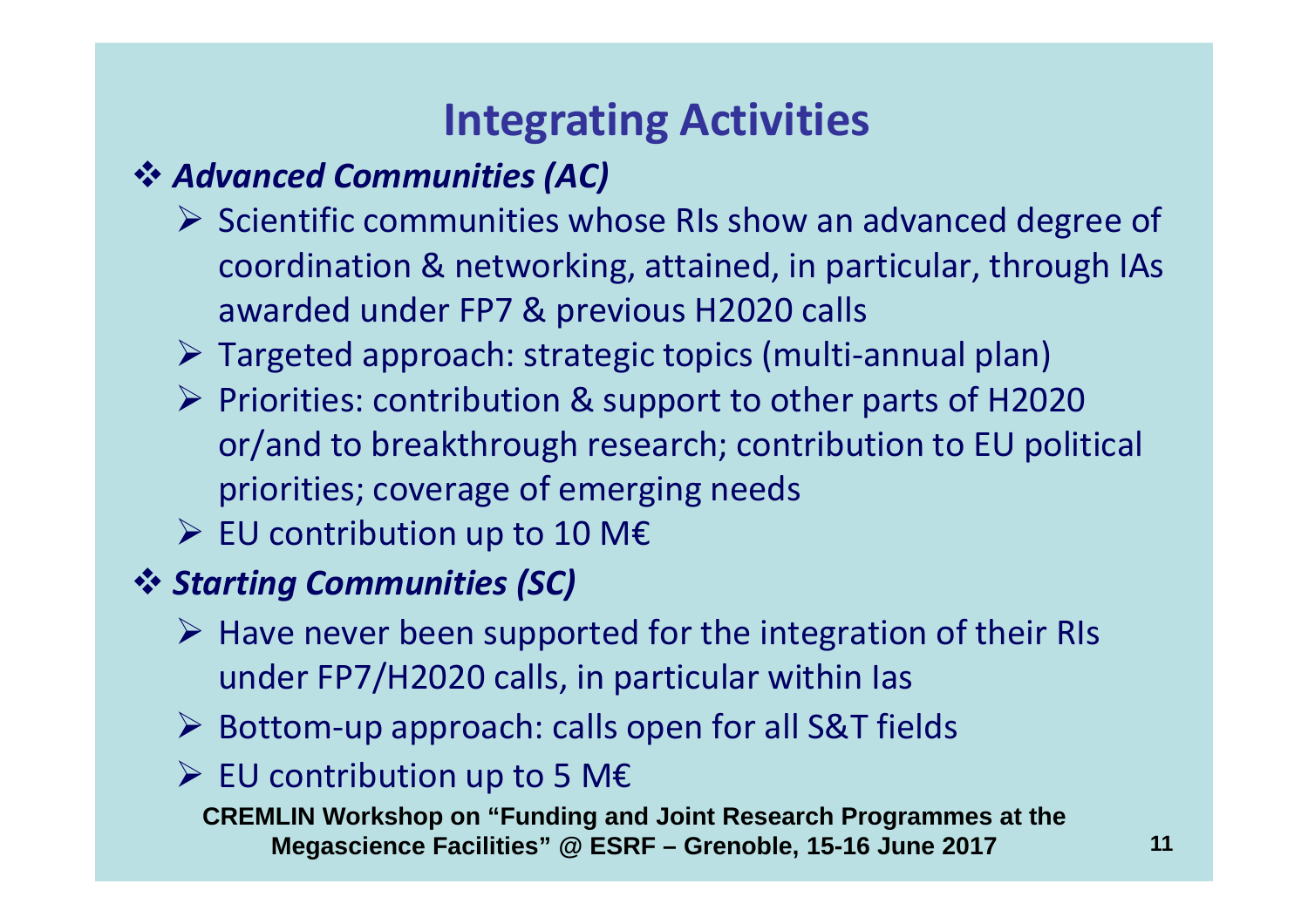# **Integrating Activities**

# *Advanced Communities (AC)*

- Scientific communities whose RIs show an advanced degree of <br>Scientific communities whose RIs show an advanced degree of coordination & networking, attained, in particular, through IAs awarded under FP7 & previous H2020 calls
- > Targeted approach: strategic topics (multi-annual plan)
- Priorities: contribution & support to other parts of H2020 or/and to breakthrough research; contribution to EU political priorities; coverage of emerging needs
- EU contribution up to 10 M€

# *Starting Communities (SC)*

- $\triangleright$  Have never been supported for the integration of their RIs under FP7/H2020 calls, in particular within Ias
- > Bottom-up approach: calls open for all S&T fields

# EU contribution up to 5 M€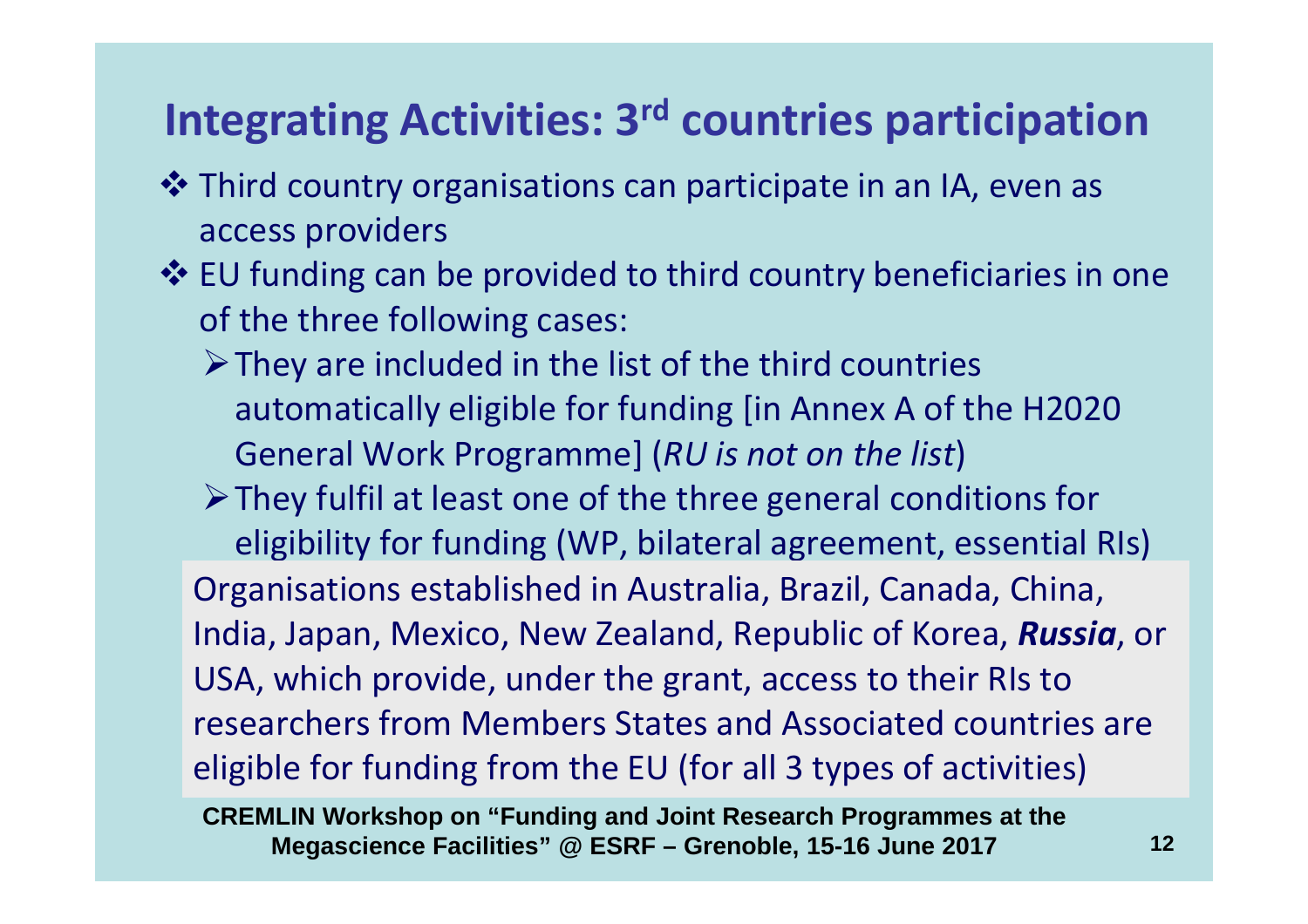## **Integrating Activities: 3rd countries participation**

- **❖** Third country organisations can participate in an IA, even as a parameter of the cases are viders access providers
- **EU funding can be provided to third country beneficiaries in one**<br>
of the three following cases: of the three following cases:
	- $\triangleright$  They are included in the list of the third countries automatically eligible for funding [in Annex A of the H2020General Work Programme] (*RU is not on the list*)
	- $\triangleright$  They fulfil at least one of the three general conditions for eligibility for funding (WP, bilateral agreement, essential RIs)

Organisations established in Australia, Brazil, Canada, China, India, Japan, Mexico, New Zealand, Republic of Korea, *Russia*, or USA, which provide, under the grant, access to their RIs to researchers from Members States and Associated countries are eligible for funding from the EU (for all 3 types of activities)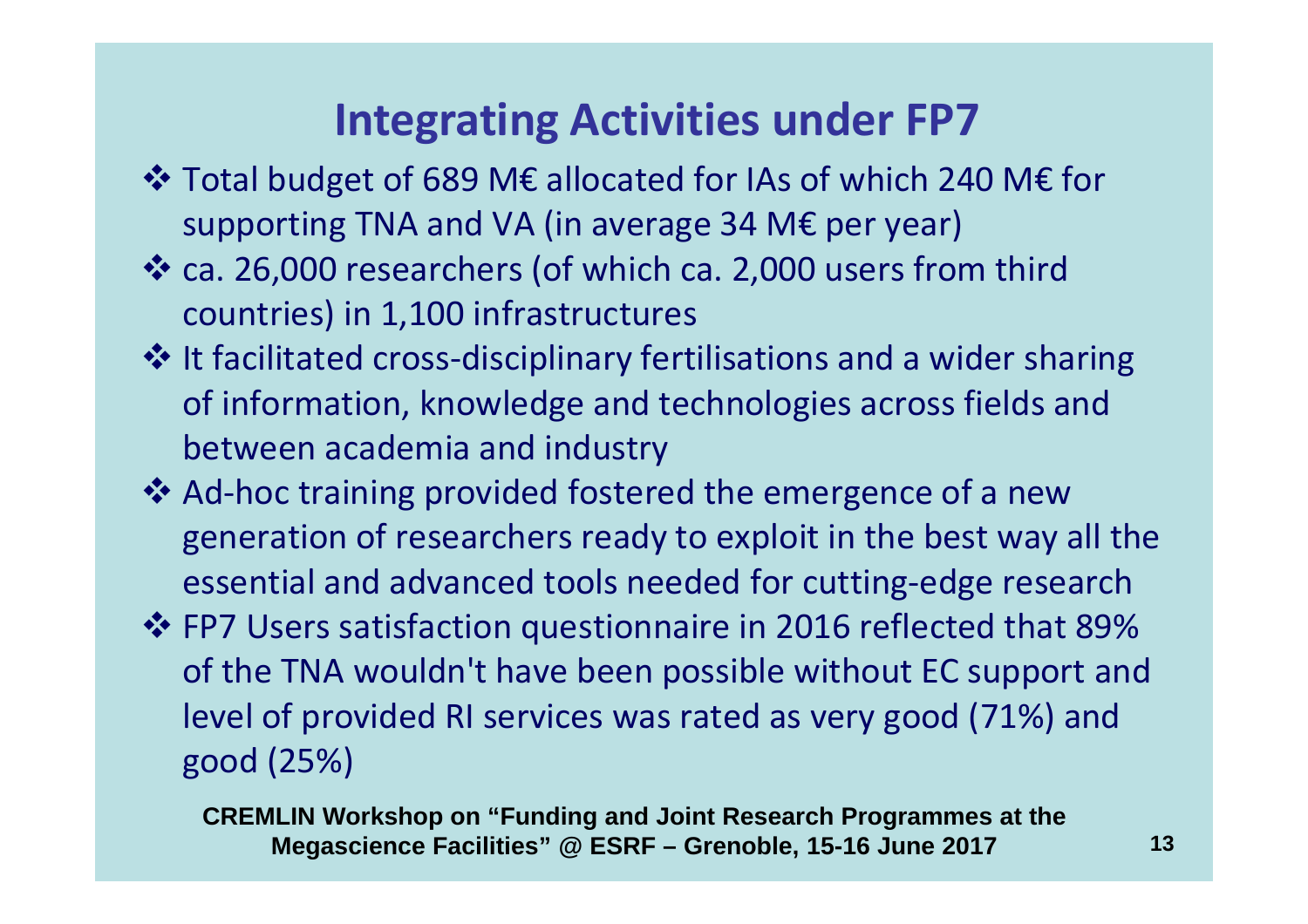### **Integrating Activities under FP7**

- \* Total budget of 689 M€ allocated for IAs of which 240 M€ for<br>Supporting TNA and VA (in average 24 M£ per vear) supporting TNA and VA (in average 34 M€ per year)
- \* ca. 26,000 researchers (of which ca. 2,000 users from third countries) in 1,100 infrastructures
- It facilitated cross-disciplinary fertilisations and a wider sharing<br>
of information, knowledge and technologies across fields and of information, knowledge and technologies across fields and between academia and industry
- Ad-hoc training provided fostered the emergence of a new generation of researchers ready to exploit in the best way all the essential and advanced tools needed for cutting-edge research
- FP7 Users satisfaction questionnaire in 2016 reflected that 89% of the TNA wouldn't have been possible without EC support and level of provided RI services was rated as very good (71%) and good (25%)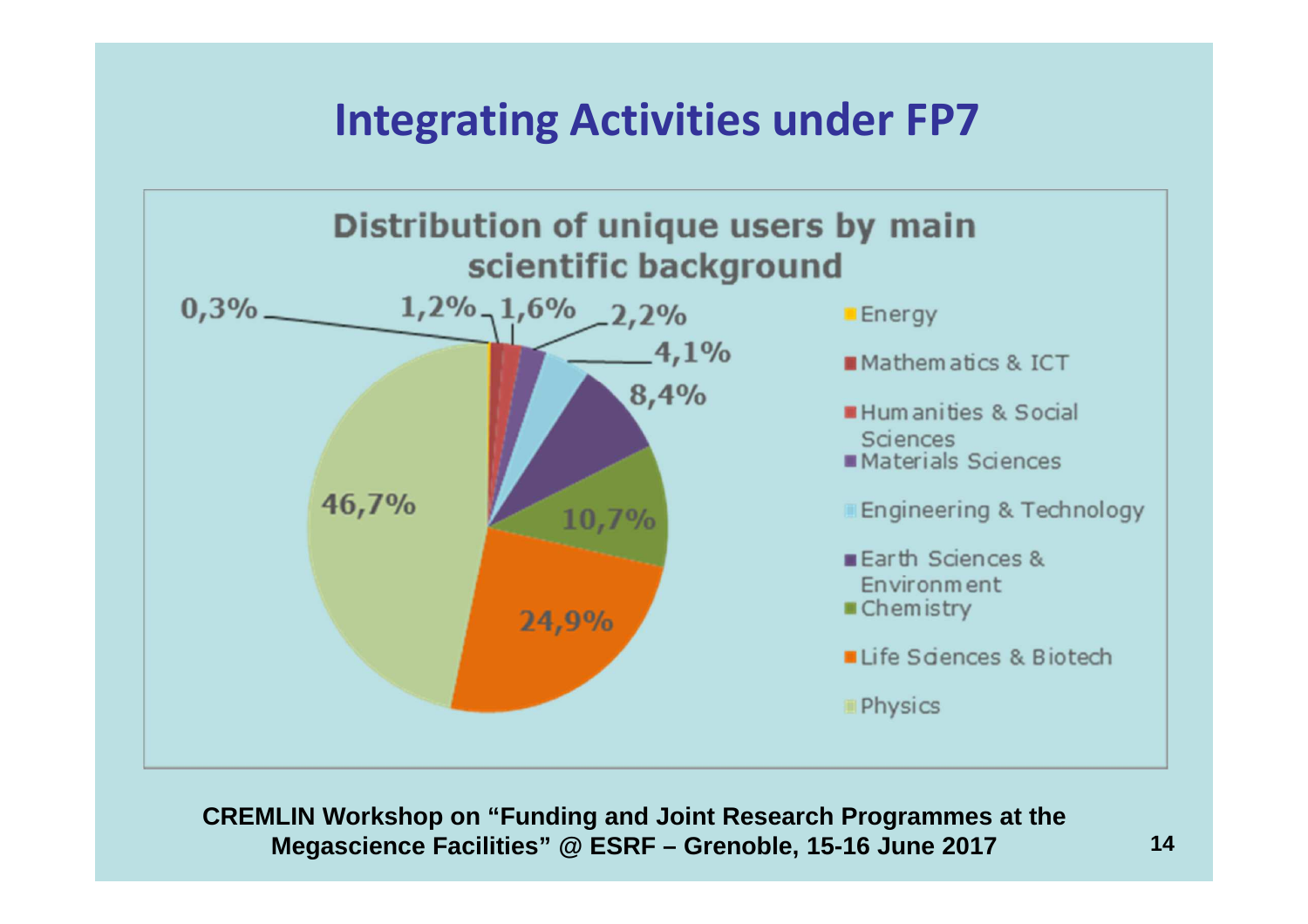### **Integrating Activities under FP7**

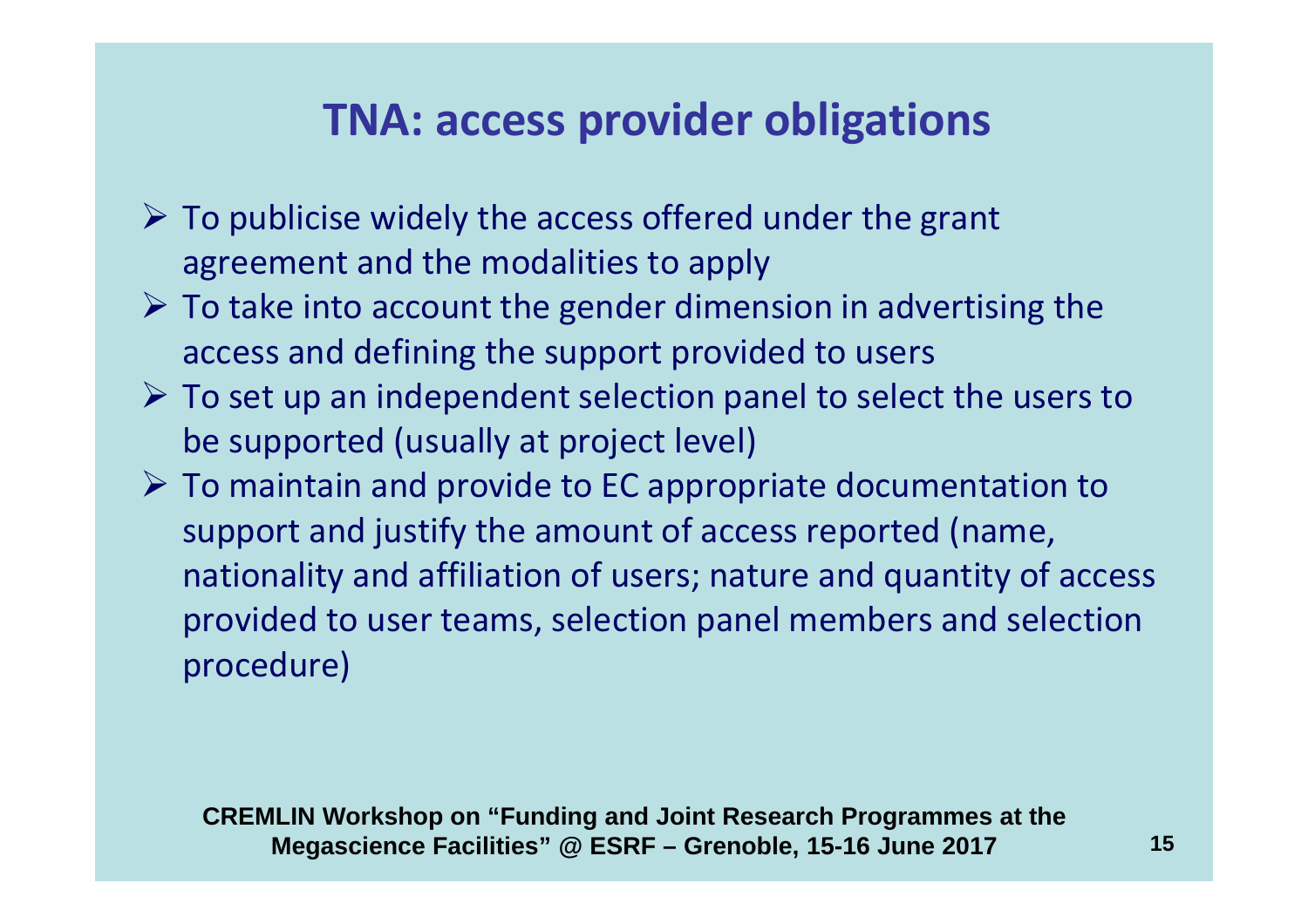### **TNA: access provider obligations**

- $\triangleright$  To publicise widely the access offered under the grant agreement and the modalities to apply
- $\triangleright$  To take into account the gender dimension in advertising the access and defining the support provided to users
- $\triangleright$  To set up an independent selection panel to select the users to he supported (usually at project level). be supported (usually at project level)
- $\triangleright$  To maintain and provide to EC appropriate documentation to support and justify the amount of access reported (name, nationality and affiliation of users; nature and quantity of access provided to user teams, selection panel members and selection procedure)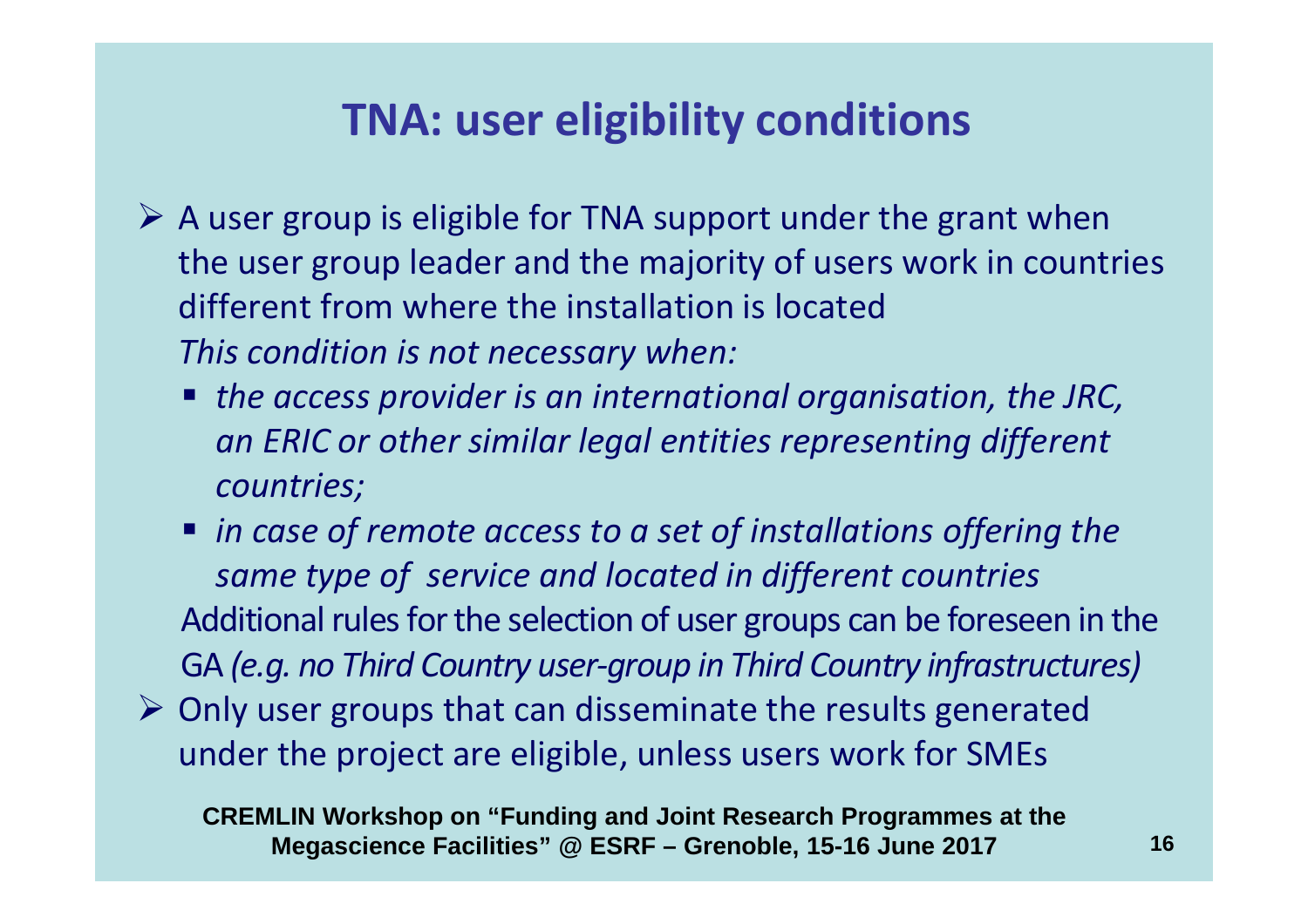### **TNA: user eligibility conditions**

- A user group is eligible for TNA support under the grant when<br>the user group leader and the maintimed users used in accurate the user group leader and the majority of users work in countries different from where the installation is located *This condition is not necessary when:*
	- *the access provider is an international organisation, the JRC, an ERIC or other similar legal entities representing different countries;*
	- *in case of remote access to a set of installations offering the same type of service and located in different countries*Additional rules for the selection of user groups can be foreseen in the GA *(e.g. no Third Country user-group in Third Country infrastructures)*
- $\triangleright$  Only user groups that can disseminate the results generated under the project are eligible, unless users work for SMEs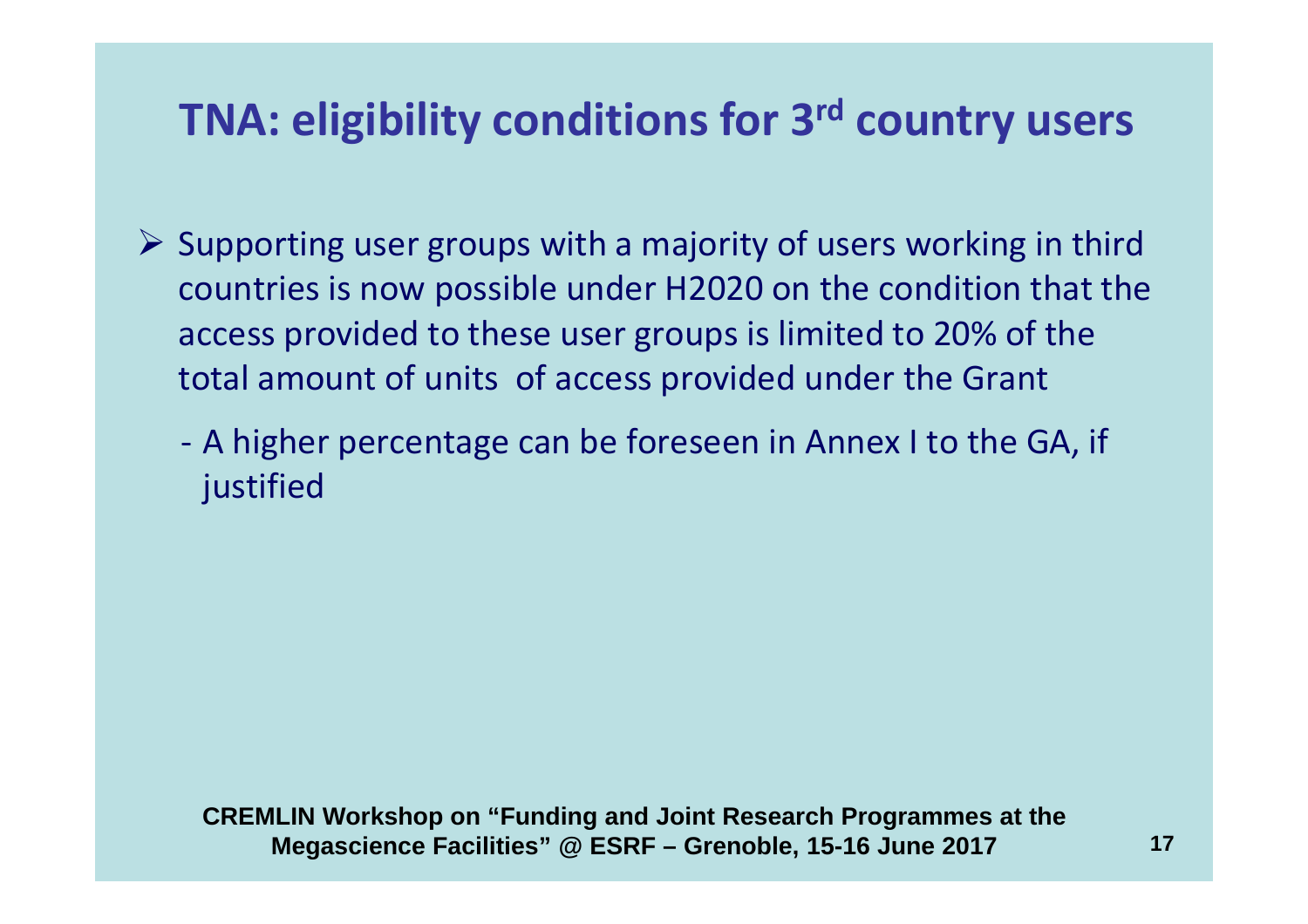### **TNA: eligibility conditions for 3rd country users**

- Supporting user groups with a majority of users working in third<br>Countries is now necessible under U2020 an the condition that the countries is now possible under H2020 on the condition that the access provided to these user groups is limited to 20% of the total amount of units of access provided under the Grant
	- - A higher percentage can be foreseen in Annex I to the GA, if justified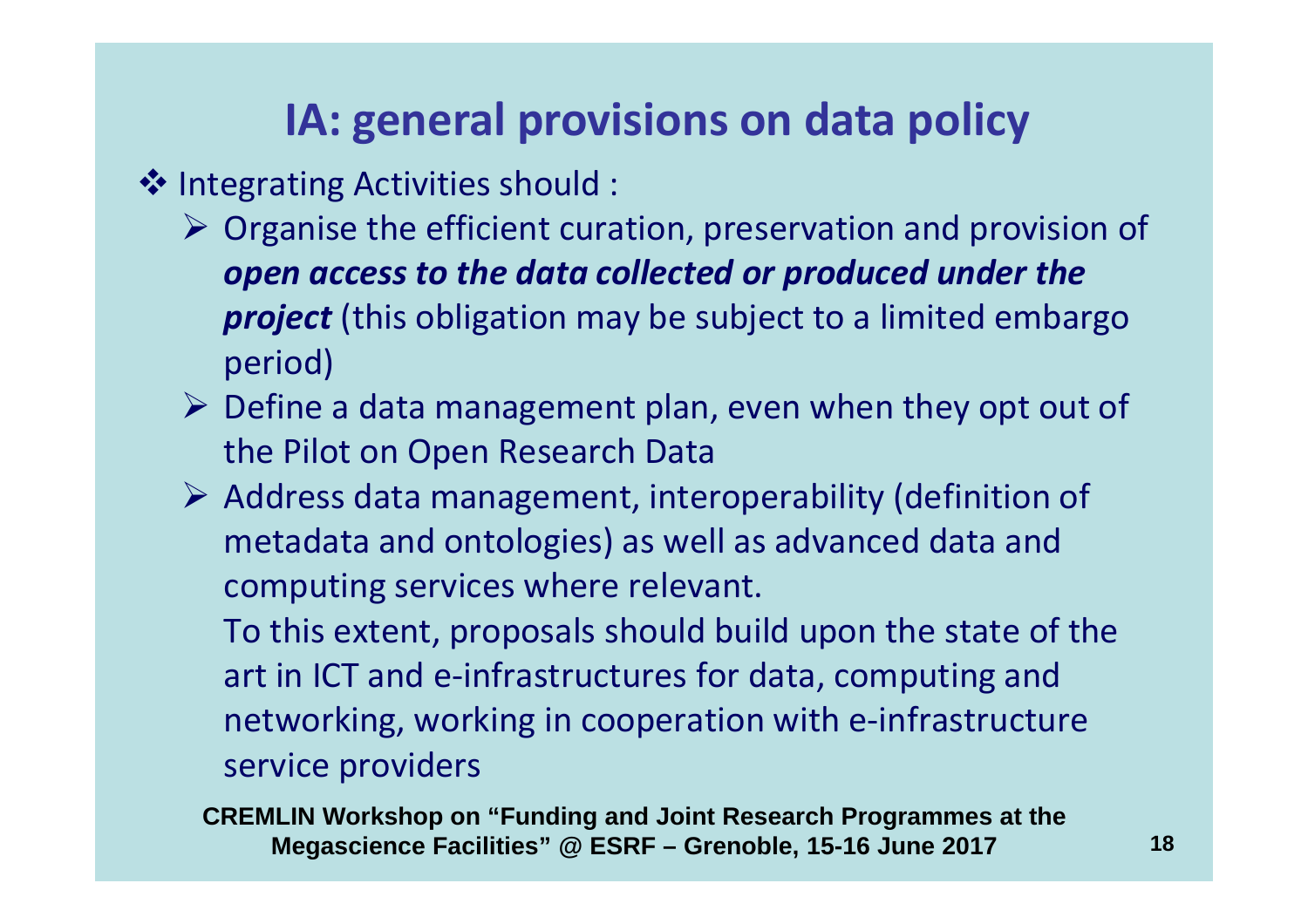# **IA: general provisions on data policy**

- **Integrating Activities should :**<br>Organise the efficient cura
	- > Organise the efficient curation, preservation and provision of *open access to the data collected or produced under the project* (this obligation may be subject to a limited embargo period)
	- $\triangleright$  Define a data management plan, even when they opt out of the Pilot on Open Research Data
	- Address data management, interoperability (definition of metadata and ontologies) as well as advanced data and computing services where relevant.

To this extent, proposals should build upon the state of the art in ICT and e-infrastructures for data, computing and networking, working in cooperation with e-infrastructure service providers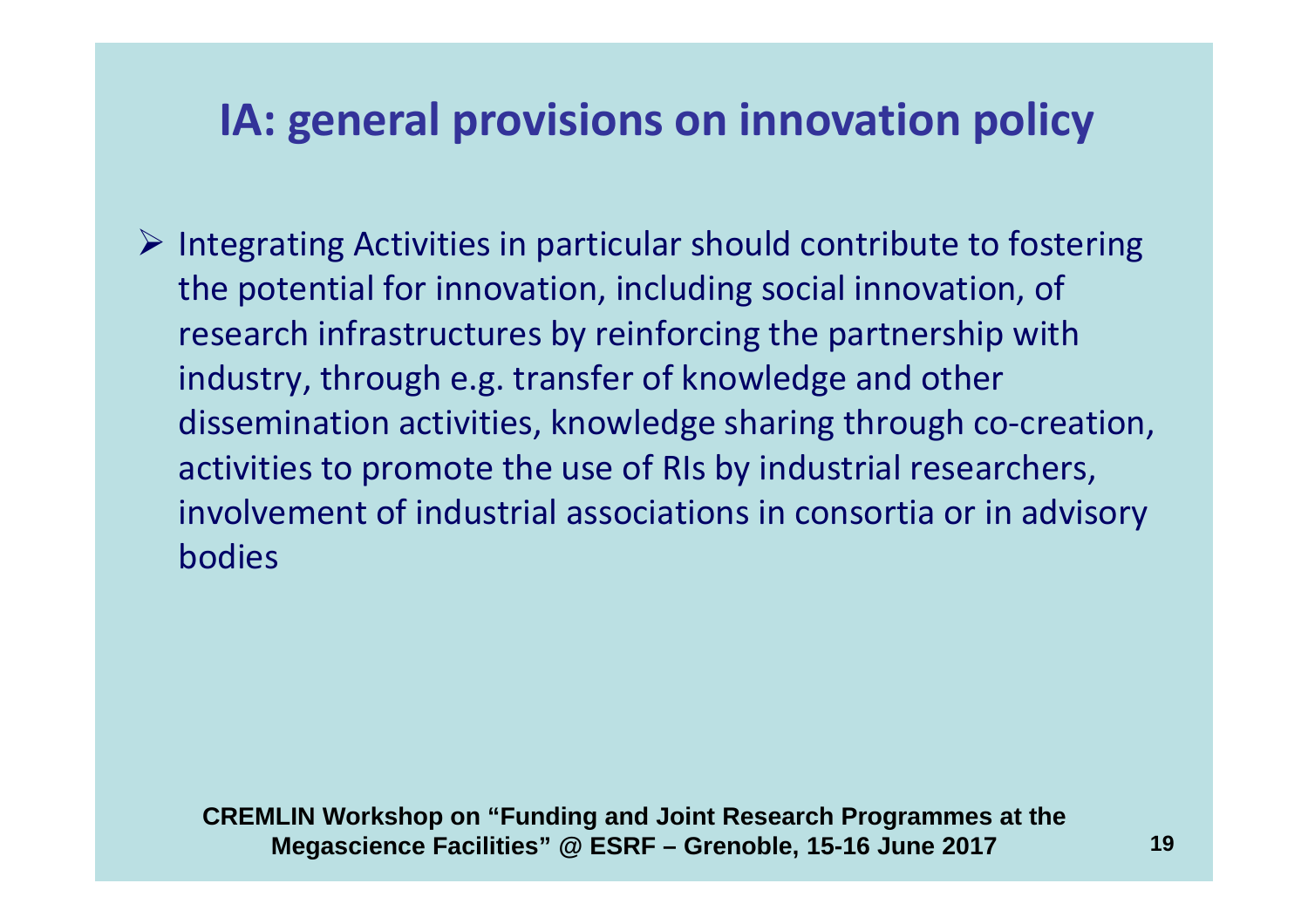### **IA: general provisions on innovation policy**

Integrating Activities in particular should contribute to fostering  $\epsilon$ the potential for innovation, including social innovation, of research infrastructures by reinforcing the partnership with industry, through e.g. transfer of knowledge and other dissemination activities, knowledge sharing through co-creation, activities to promote the use of RIs by industrial researchers, involvement of industrial associations in consortia or in advisorybodies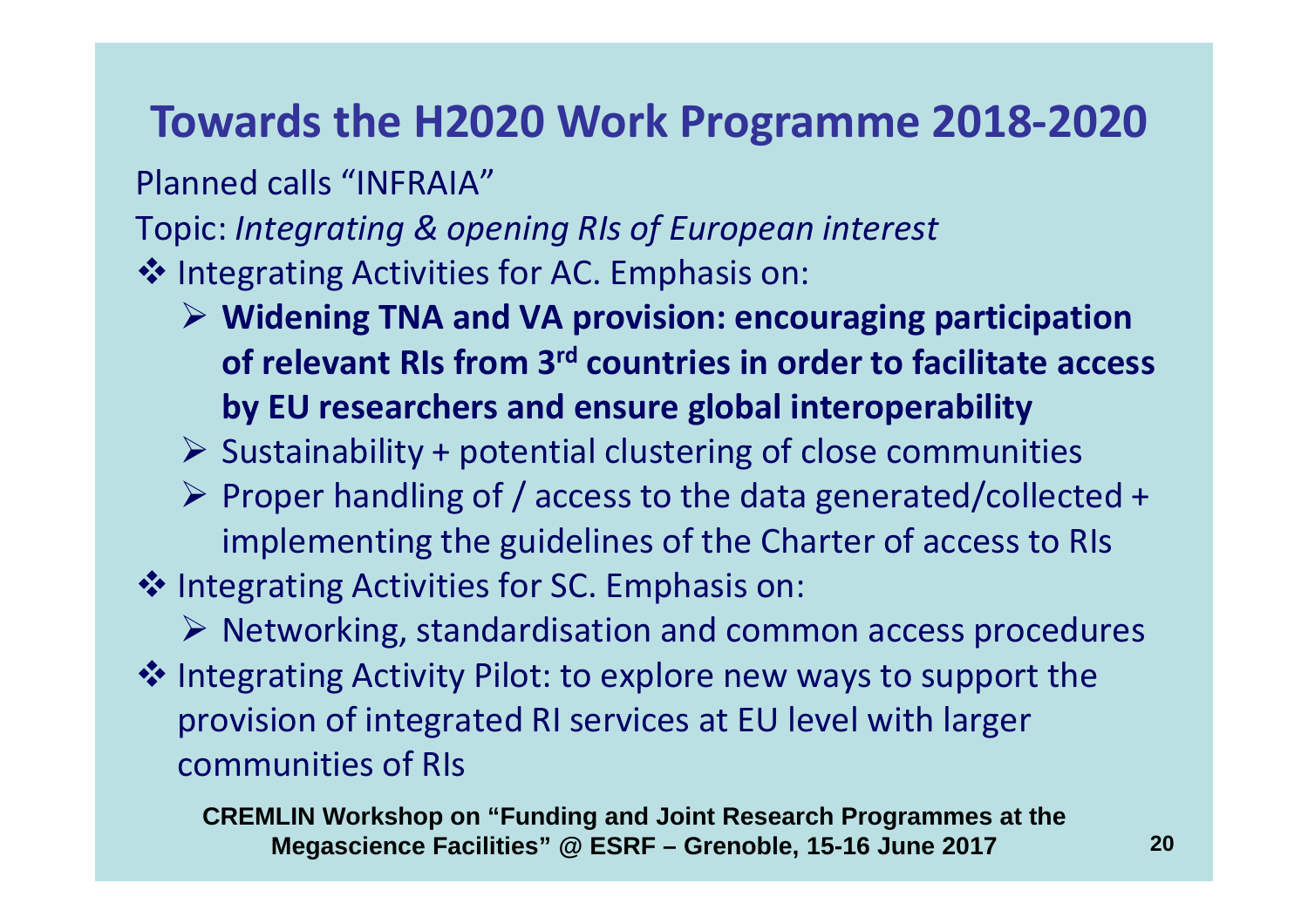#### **Towards the H2020 Work Programme 2018-2020**

Planned calls "INFRAIA"

Topic: *Integrating & opening RIs of European interest*

Integrating Activities for AC. Emphasis on:<br>Midening TNA and VA provision: once

- **Widening TNA and VA provision: encouraging participation of relevant RIs from 3rd countries in order to facilitate access by EU researchers and ensure global interoperability**
- $\triangleright$  Sustainability + potential clustering of close communities
- Proper handling of / access to the data generated/collected + implementing the guidelines of the Charter of access to RIs
- Integrating Activities for SC. Emphasis on:<br>
Integrating standardication and some
	- ▶ Networking, standardisation and common access procedures
- Integrating Activity Pilot: to explore new ways to support the<br>provision of integrated PL services at ELL lovel with larger provision of integrated RI services at EU level with larger communities of RIs